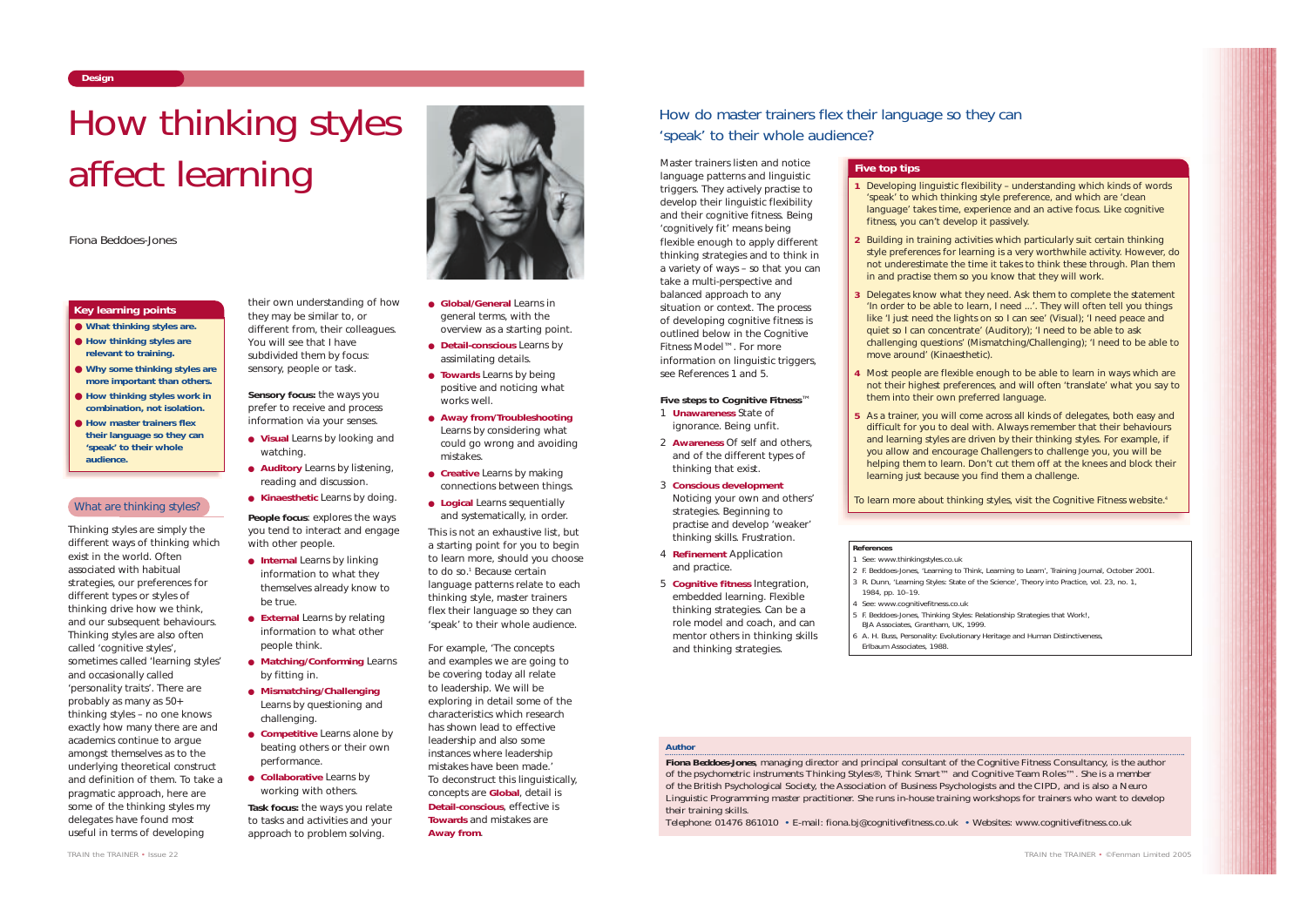Thinking styles are simply the different ways of thinking which exist in the world. Often associated with habitual strategies, our preferences for different types or styles of thinking drive how we think, and our subsequent behaviours. Thinking styles are also often called 'cognitive styles', sometimes called 'learning styles' and occasionally called 'personality traits'. There are probably as many as 50+ thinking styles – no one knows exactly how many there are and academics continue to argue amongst themselves as to the underlying theoretical construct and definition of them. To take a pragmatic approach, here are some of the thinking styles my delegates have found most useful in terms of developing

their own understanding of how they may be similar to, or different from, their colleagues. You will see that I have subdivided them by focus: sensory, people or task.

**Sensory focus:** the ways you prefer to receive and process information via your senses.

- **Visual** Learns by looking and watching.
- **Auditory** Learns by listening, reading and discussion.

● **Kinaesthetic** Learns by doing. **People focus**: explores the ways you tend to interact and engage with other people.

- **Internal** Learns by linking information to what they themselves already know to be true.
- **External** Learns by relating information to what other people think.
- **Matching/Conforming** Learns by fitting in.
- **Mismatching/Challenging** Learns by questioning and challenging.
- **Competitive** Learns alone by beating others or their own performance.
- **Collaborative** Learns by working with others.

**Task focus:** the ways you relate to tasks and activities and your approach to problem solving.

- **Global/General** Learns in general terms, with the overview as a starting point.
- **Detail-conscious** Learns by assimilating details.
- **Towards** Learns by being positive and noticing what works well.
- **Away from/Troubleshooting** Learns by considering what could go wrong and avoiding mistakes.
- **Creative** Learns by making connections between things.
- **Logical** Learns sequentially and systematically, in order.

This is not an exhaustive list, but a starting point for you to begin to learn more, should you choose to do so.<sup>1</sup> Because certain language patterns relate to each thinking style, master trainers flex their language so they can 'speak' to their whole audience.

For example, 'The concepts and examples we are going to be covering today all relate to leadership. We will be exploring in detail some of the characteristics which research has shown lead to effective leadership and also some instances where leadership mistakes have been made.' To deconstruct this linguistically, concepts are **Global**, detail is **Detail-conscious**, effective is **Towards** and mistakes are **Away from**.

- See: www.thinkingstyles.co.uk
- 1984, pp. 10–19.
- See: www.cognitivefitness.co.uk
- 
- BJA Associates, Grantham, UK, 1999.
- 
- Erlbaum Associates, 1988.

# **Design**

*TRAIN the TRAINER • Issue 22*

- **What thinking styles are.**
- **How thinking styles are relevant to training.**
- **Why some thinking styles are more important than others.**
- **How thinking styles work in combination, not isolation.**
- **How master trainers flex their language so they can 'speak' to their whole audience.**

# What are thinking styles?

# **Key learning points**

#### *Author*

**Fiona Beddoes-Jones**, managing director and principal consultant of the Cognitive Fitness Consultancy, is the author of the psychometric instruments Thinking Styles®, Think Smart™ and Cognitive Team Roles™. She is a member of the British Psychological Society, the Association of Business Psychologists and the CIPD, and is also a Neuro Linguistic Programming master practitioner. She runs in-house training workshops for trainers who want to develop their training skills.

Telephone: 01476 861010 • E-mail: fiona.bj@cognitivefitness.co.uk • Websites: www.cognitivefitness.co.uk





# How thinking styles affect learning

*Fiona Beddoes-Jones*

Master trainers listen and notice language patterns and linguistic triggers. They actively practise to develop their linguistic flexibility and their cognitive fitness. Being 'cognitively fit' means being flexible enough to apply different thinking strategies and to think in a variety of ways – so that you can take a multi-perspective and balanced approach to any situation or context. The process of developing cognitive fitness is outlined below in the Cognitive Fitness Model™. For more information on linguistic triggers, see References 1 and 5.

#### **Five steps to Cognitive Fitness**™

- 1 **Unawareness** State of ignorance. Being unfit.
- 2 **Awareness** Of self and others, and of the different types of thinking that exist.
- 3 **Conscious development** Noticing your own and others' strategies. Beginning to practise and develop 'weaker' thinking skills. Frustration.
- 4 **Refinement** Application and practice.
- 5 **Cognitive fitness** Integration, embedded learning. Flexible thinking strategies. Can be a role model and coach, and can mentor others in thinking skills and thinking strategies.

### **References**

2 F. Beddoes-Jones, 'Learning to Think, Learning to Learn', *Training Journal*, October 2001. 3 R. Dunn, 'Learning Styles: State of the Science', *Theory into Practice*, vol. 23, no. 1,

5 F. Beddoes-Jones, *Thinking Styles: Relationship Strategies that Work!*,

6 A. H. Buss, *Personality: Evolutionary Heritage and Human Distinctiveness*,

# How do master trainers flex their language so they can 'speak' to their whole audience?

**1** Developing linguistic flexibility – understanding which kinds of words 'speak' to which thinking style preference, and which are 'clean language' takes time, experience and an active focus. Like cognitive

**2** Building in training activities which particularly suit certain thinking style preferences for learning is a very worthwhile activity. However, do not underestimate the time it takes to think these through. Plan them

**3** Delegates know what they need. Ask them to complete the statement 'In order to be able to learn, I need ...'. They will often tell you things like 'I just need the lights on so I can see' (Visual); 'I need peace and quiet so I can concentrate' (Auditory); 'I need to be able to ask challenging questions' (Mismatching/Challenging); 'I need to be able to

- fitness, you can't develop it passively.
- in and practise them so you know that they will work.
- move around' (Kinaesthetic).
- them into their own preferred language.
- learning just because you find them a challenge.

To learn more about thinking styles, visit the Cognitive Fitness website.<sup>4</sup>

**4** Most people are flexible enough to be able to learn in ways which are not their highest preferences, and will often 'translate' what you say to

**5** As a trainer, you will come across all kinds of delegates, both easy and difficult for you to deal with. Always remember that their behaviours and learning styles are driven by their thinking styles. For example, if you allow and encourage Challengers to challenge you, you will be helping them to learn. Don't cut them off at the knees and block their

# **Five top tips**